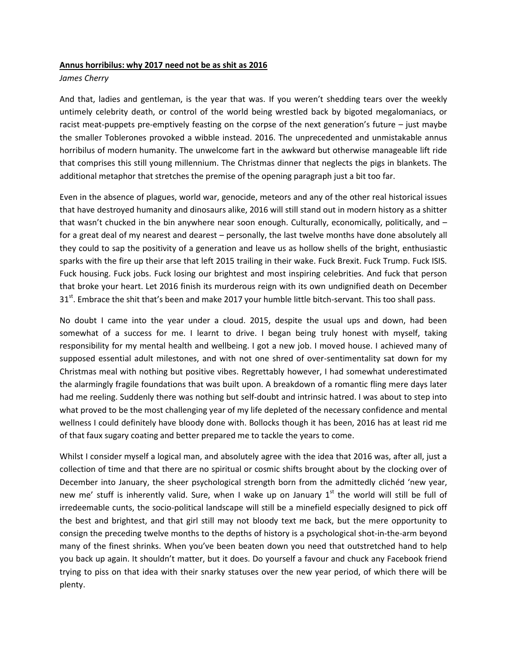## **Annus horribilus: why 2017 need not be as shit as 2016**

## *James Cherry*

And that, ladies and gentleman, is the year that was. If you weren't shedding tears over the weekly untimely celebrity death, or control of the world being wrestled back by bigoted megalomaniacs, or racist meat-puppets pre-emptively feasting on the corpse of the next generation's future – just maybe the smaller Toblerones provoked a wibble instead. 2016. The unprecedented and unmistakable annus horribilus of modern humanity. The unwelcome fart in the awkward but otherwise manageable lift ride that comprises this still young millennium. The Christmas dinner that neglects the pigs in blankets. The additional metaphor that stretches the premise of the opening paragraph just a bit too far.

Even in the absence of plagues, world war, genocide, meteors and any of the other real historical issues that have destroyed humanity and dinosaurs alike, 2016 will still stand out in modern history as a shitter that wasn't chucked in the bin anywhere near soon enough. Culturally, economically, politically, and – for a great deal of my nearest and dearest – personally, the last twelve months have done absolutely all they could to sap the positivity of a generation and leave us as hollow shells of the bright, enthusiastic sparks with the fire up their arse that left 2015 trailing in their wake. Fuck Brexit. Fuck Trump. Fuck ISIS. Fuck housing. Fuck jobs. Fuck losing our brightest and most inspiring celebrities. And fuck that person that broke your heart. Let 2016 finish its murderous reign with its own undignified death on December 31<sup>st</sup>. Embrace the shit that's been and make 2017 your humble little bitch-servant. This too shall pass.

No doubt I came into the year under a cloud. 2015, despite the usual ups and down, had been somewhat of a success for me. I learnt to drive. I began being truly honest with myself, taking responsibility for my mental health and wellbeing. I got a new job. I moved house. I achieved many of supposed essential adult milestones, and with not one shred of over-sentimentality sat down for my Christmas meal with nothing but positive vibes. Regrettably however, I had somewhat underestimated the alarmingly fragile foundations that was built upon. A breakdown of a romantic fling mere days later had me reeling. Suddenly there was nothing but self-doubt and intrinsic hatred. I was about to step into what proved to be the most challenging year of my life depleted of the necessary confidence and mental wellness I could definitely have bloody done with. Bollocks though it has been, 2016 has at least rid me of that faux sugary coating and better prepared me to tackle the years to come.

Whilst I consider myself a logical man, and absolutely agree with the idea that 2016 was, after all, just a collection of time and that there are no spiritual or cosmic shifts brought about by the clocking over of December into January, the sheer psychological strength born from the admittedly clichéd 'new year, new me' stuff is inherently valid. Sure, when I wake up on January  $1<sup>st</sup>$  the world will still be full of irredeemable cunts, the socio-political landscape will still be a minefield especially designed to pick off the best and brightest, and that girl still may not bloody text me back, but the mere opportunity to consign the preceding twelve months to the depths of history is a psychological shot-in-the-arm beyond many of the finest shrinks. When you've been beaten down you need that outstretched hand to help you back up again. It shouldn't matter, but it does. Do yourself a favour and chuck any Facebook friend trying to piss on that idea with their snarky statuses over the new year period, of which there will be plenty.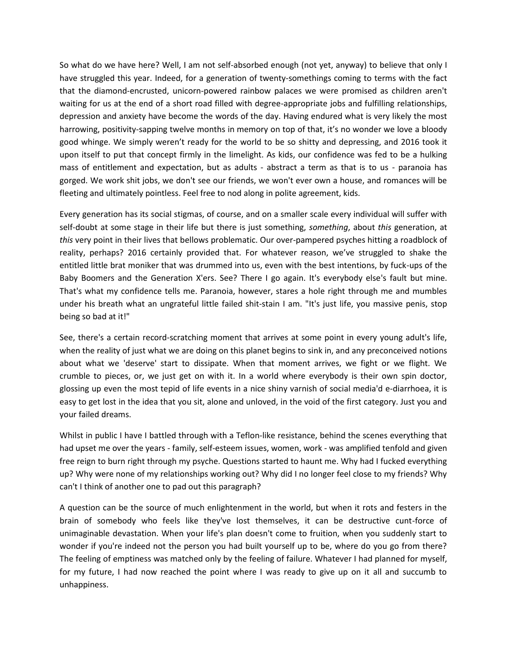So what do we have here? Well, I am not self-absorbed enough (not yet, anyway) to believe that only I have struggled this year. Indeed, for a generation of twenty-somethings coming to terms with the fact that the diamond-encrusted, unicorn-powered rainbow palaces we were promised as children aren't waiting for us at the end of a short road filled with degree-appropriate jobs and fulfilling relationships, depression and anxiety have become the words of the day. Having endured what is very likely the most harrowing, positivity-sapping twelve months in memory on top of that, it's no wonder we love a bloody good whinge. We simply weren't ready for the world to be so shitty and depressing, and 2016 took it upon itself to put that concept firmly in the limelight. As kids, our confidence was fed to be a hulking mass of entitlement and expectation, but as adults - abstract a term as that is to us - paranoia has gorged. We work shit jobs, we don't see our friends, we won't ever own a house, and romances will be fleeting and ultimately pointless. Feel free to nod along in polite agreement, kids.

Every generation has its social stigmas, of course, and on a smaller scale every individual will suffer with self-doubt at some stage in their life but there is just something, *something*, about *this* generation, at *this* very point in their lives that bellows problematic. Our over-pampered psyches hitting a roadblock of reality, perhaps? 2016 certainly provided that. For whatever reason, we've struggled to shake the entitled little brat moniker that was drummed into us, even with the best intentions, by fuck-ups of the Baby Boomers and the Generation X'ers. See? There I go again. It's everybody else's fault but mine. That's what my confidence tells me. Paranoia, however, stares a hole right through me and mumbles under his breath what an ungrateful little failed shit-stain I am. "It's just life, you massive penis, stop being so bad at it!"

See, there's a certain record-scratching moment that arrives at some point in every young adult's life, when the reality of just what we are doing on this planet begins to sink in, and any preconceived notions about what we 'deserve' start to dissipate. When that moment arrives, we fight or we flight. We crumble to pieces, or, we just get on with it. In a world where everybody is their own spin doctor, glossing up even the most tepid of life events in a nice shiny varnish of social media'd e-diarrhoea, it is easy to get lost in the idea that you sit, alone and unloved, in the void of the first category. Just you and your failed dreams.

Whilst in public I have I battled through with a Teflon-like resistance, behind the scenes everything that had upset me over the years - family, self-esteem issues, women, work - was amplified tenfold and given free reign to burn right through my psyche. Questions started to haunt me. Why had I fucked everything up? Why were none of my relationships working out? Why did I no longer feel close to my friends? Why can't I think of another one to pad out this paragraph?

A question can be the source of much enlightenment in the world, but when it rots and festers in the brain of somebody who feels like they've lost themselves, it can be destructive cunt-force of unimaginable devastation. When your life's plan doesn't come to fruition, when you suddenly start to wonder if you're indeed not the person you had built yourself up to be, where do you go from there? The feeling of emptiness was matched only by the feeling of failure. Whatever I had planned for myself, for my future, I had now reached the point where I was ready to give up on it all and succumb to unhappiness.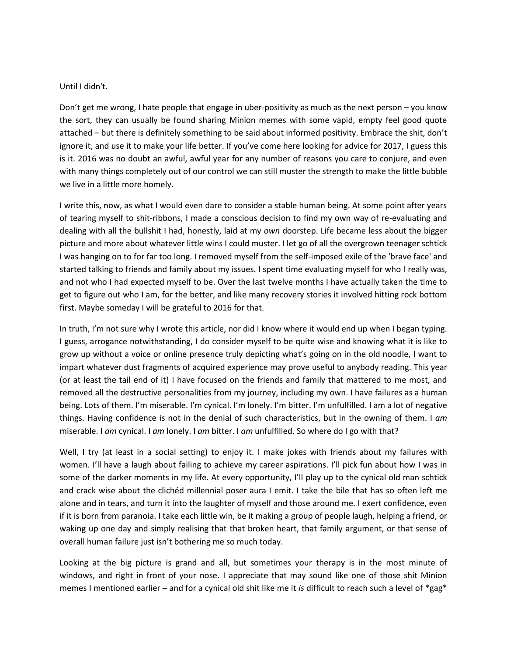## Until I didn't.

Don't get me wrong, I hate people that engage in uber-positivity as much as the next person – you know the sort, they can usually be found sharing Minion memes with some vapid, empty feel good quote attached – but there is definitely something to be said about informed positivity. Embrace the shit, don't ignore it, and use it to make your life better. If you've come here looking for advice for 2017, I guess this is it. 2016 was no doubt an awful, awful year for any number of reasons you care to conjure, and even with many things completely out of our control we can still muster the strength to make the little bubble we live in a little more homely.

I write this, now, as what I would even dare to consider a stable human being. At some point after years of tearing myself to shit-ribbons, I made a conscious decision to find my own way of re-evaluating and dealing with all the bullshit I had, honestly, laid at my *own* doorstep. Life became less about the bigger picture and more about whatever little wins I could muster. I let go of all the overgrown teenager schtick I was hanging on to for far too long. I removed myself from the self-imposed exile of the 'brave face' and started talking to friends and family about my issues. I spent time evaluating myself for who I really was, and not who I had expected myself to be. Over the last twelve months I have actually taken the time to get to figure out who I am, for the better, and like many recovery stories it involved hitting rock bottom first. Maybe someday I will be grateful to 2016 for that.

In truth, I'm not sure why I wrote this article, nor did I know where it would end up when I began typing. I guess, arrogance notwithstanding, I do consider myself to be quite wise and knowing what it is like to grow up without a voice or online presence truly depicting what's going on in the old noodle, I want to impart whatever dust fragments of acquired experience may prove useful to anybody reading. This year (or at least the tail end of it) I have focused on the friends and family that mattered to me most, and removed all the destructive personalities from my journey, including my own. I have failures as a human being. Lots of them. I'm miserable. I'm cynical. I'm lonely. I'm bitter. I'm unfulfilled. I am a lot of negative things. Having confidence is not in the denial of such characteristics, but in the owning of them. I *am* miserable. I *am* cynical. I *am* lonely. I *am* bitter. I *am* unfulfilled. So where do I go with that?

Well, I try (at least in a social setting) to enjoy it. I make jokes with friends about my failures with women. I'll have a laugh about failing to achieve my career aspirations. I'll pick fun about how I was in some of the darker moments in my life. At every opportunity, I'll play up to the cynical old man schtick and crack wise about the clichéd millennial poser aura I emit. I take the bile that has so often left me alone and in tears, and turn it into the laughter of myself and those around me. I exert confidence, even if it is born from paranoia. I take each little win, be it making a group of people laugh, helping a friend, or waking up one day and simply realising that that broken heart, that family argument, or that sense of overall human failure just isn't bothering me so much today.

Looking at the big picture is grand and all, but sometimes your therapy is in the most minute of windows, and right in front of your nose. I appreciate that may sound like one of those shit Minion memes I mentioned earlier – and for a cynical old shit like me it *is* difficult to reach such a level of \*gag\*